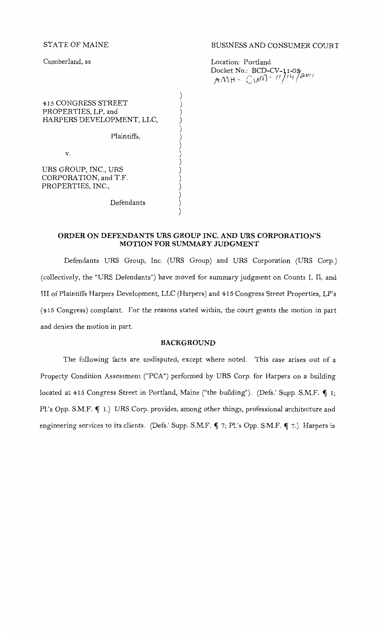STATE OF MAINE

Cumberland, ss

## BUSINESS AND CONSUMER COURT

Location: Portland Docket No.: BCD-CV-11-03<br>AMH - C U<sup>N}- 11</sup>/<sup>14</sup>/<sup>2011</sup>

415 CONGRESS STREET PROPERTIES, LP, and HARPERS DEVELOPMENT, LLC,

Plaintiffs,

v.

URS GROUP, INC., URS CORPORATION, and T.F. PROPERTIES, INC.,

Defendants

## **ORDER ON DEFENDANTS URS GROUP INC. AND URS CORPORATION'S MOTION FOR SUMMARY JUDGMENT**

) ) ) ) ) ) ) ) ) ) ) ) ) ) )

Defendants URS Group, Inc. (URS Group) and URS Corporation (URS Corp.) (collectively, the "URS Defendants") have moved for summary judgment on Counts I, II, and III of Plaintiffs Harpers Development, LLC (Harpers) and 415 Congress Street Properties, LP's (415 Congress) complaint. For the reasons stated within, the court grants the motion in part and denies the motion in part.

#### **BACKGROUND**

The following facts are undisputed, except where noted. This case arises out of a Property Condition Assessment ("PCA") performed by URS Corp. for Harpers on a building located at 415 Congress Street in Portland, Maine ("the building"). (Defs.' Supp. S.M.F.  $\P$  1; Pl.'s Opp. S.M.F.  $\P$  1.) URS Corp. provides, among other things, professional architecture and engineering services to its clients. (Defs.' Supp. S.M.F.  $\P$  7; Pl.'s Opp. S.M.F.  $\P$  7.) Harpers is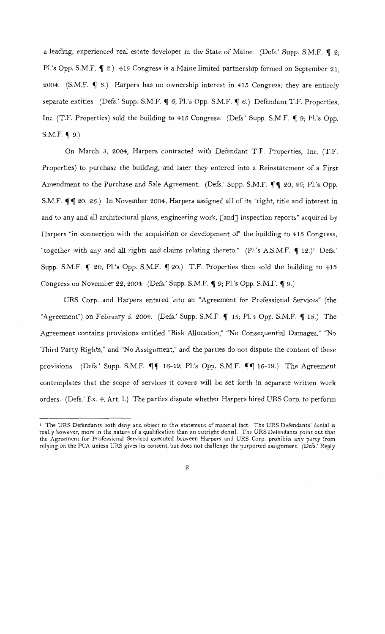a leading, experienced real estate developer in the State of Maine. (Defs.' Supp. S.M.F.  $\P$  2; Pl.'s Opp. S.M.F.  $\P$  2.) 415 Congress is a Maine limited partnership formed on September 21, 2004. (S.M.F.  $\P$  3.) Harpers has no ownership interest in 415 Congress; they are entirely separate entities. (Defs.' Supp. S.M.F.  $\P$  6; Pl.'s Opp. S.M.F.  $\P$  6.) Defendant T.F. Properties, Inc. (T.F. Properties) sold the building to 415 Congress. (Defs.' Supp. S.M.F. ¶ 9; Pl.'s Opp. S.M.F.  $\P$  9.)

On March *5,* 2004, Harpers contracted with Defendant T.F. Properties, Inc. (T.F. Properties) to purchase the building, and later they entered into a Reinstatement of a First Amendment to the Purchase and Sale Agreement. (Defs.' Supp. S.M.F.  $\P\P$  20, 25; Pl.'s Opp. S.M.F.  $\P\P$  20, 25.) In November 2004, Harpers assigned all of its "right, title and interest in and to any and all architectural plans, engineering work, [and] inspection reports" acquired by Harpers "in connection with the acquisition or development of' the building to 415 Congress, "together with any and all rights and claims relating thereto." (Pl.'s A.S.M.F.  $\P$  12.)<sup>1</sup> Defs.' Supp. S.M.F.  $\P$  20; Pl.'s Opp. S.M.F.  $\P$  20.) T.F. Properties then sold the building to 415 Congress on November 22, 2004. (Defs.' Supp. S.M.F.  $\P$  9; Pl.'s Opp. S.M.F.  $\P$  9.)

URS Corp. and Harpers entered into an "Agreement for Professional Services" (the "Agreement") on February 5, 2004. (Defs.' Supp. S.M.F.  $\P$  15; Pl.'s Opp. S.M.F.  $\P$  15.) The Agreement contains provisions entitled "Risk Allocation," "No Consequential Damages," "No Third Party Rights," and "No Assignment," and the parties do not dispute the content of these provisions. (Defs.' Supp. S.M.F.  $\P\P$  16-19; Pl.'s Opp. S.M.F.  $\P\P$  16-19.) The Agreement contemplates that the scope of services it covers will be set forth in separate written work orders. (Defs.' Ex. 4, Art. I.) The parties dispute whether Harpers hired URS Corp. to perform

<sup>&</sup>lt;sup>1</sup> The URS Defendants both deny and object to this statement of material fact. The URS Defendants' denial is really however, more in the nature of a qualification than an outright denial. The URS Defendants point out that the Agreement for Professional Serviced executed between Harpers and URS Corp. prohibits any party from relying on the PCA unless URS gives its consent, but does not challenge the purported assignment. (Defs.' Reply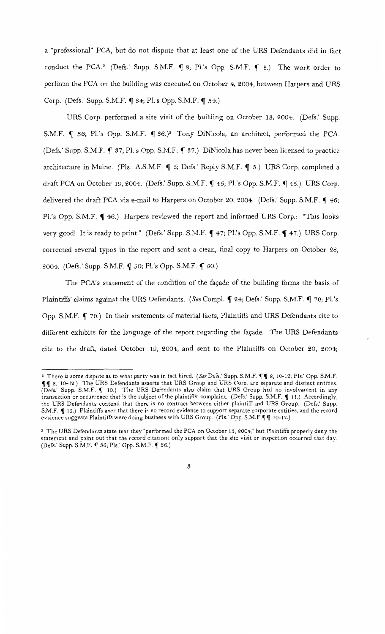a "professional" PCA, but do not dispute that at least one of the URS Defendants did in fact conduct the PCA.<sup>2</sup> (Defs.' Supp. S.M.F.  $\P$  8; Pl.'s Opp. S.M.F.  $\P$  8.) The work order to perform the PCA on the building was executed on October 4, 2004, between Harpers and URS Corp. (Defs.' Supp. S.M.F.  $\P$  34; Pl.'s Opp. S.M.F.  $\P$  34.)

URS Corp. performed a site visit of the building on October 13, 2004. (Defs.' Supp. S.M.F.  $\P$  36; Pl.'s Opp. S.M.F.  $\P$  36.)<sup>3</sup> Tony DiNicola, an architect, performed the PCA. (Defs.' Supp. S.M.F.  $\P$  37; Pl.'s Opp. S.M.F.  $\P$  37.) DiNicola has never been licensed to practice architecture in Maine. (Pls.' A.S.M.F.  $\P$  5; Defs.' Reply S.M.F.  $\P$  5.) URS Corp. completed a draft PCA on October 19, 2004. (Defs.' Supp. S.M.F.  $\P$  45; Pl.'s Opp. S.M.F.  $\P$  45.) URS Corp. delivered the draft PCA via e-mail to Harpers on October 20, 2004. (Defs.' Supp. S.M.F.  $\P$  46; Pl.'s Opp. S.M.F.  $\P$  46.) Harpers reviewed the report and informed URS Corp.: "This looks very good! It is ready to print." (Defs.' Supp. S.M.F.  $\P$  47; Pl.'s Opp. S.M.F.  $\P$  47.) URS Corp. corrected several typos in the report and sent a clean, final copy to Harpers on October 28, 2004. (Defs.' Supp. S.M.F. ¶ 50; Pl.'s Opp. S.M.F. ¶ 50.)

The PCA's statement of the condition of the façade of the building forms the basis of Plaintiffs' claims against the URS Defendants. (See Compl. 1 24; Defs.' Supp. S.M.F. 1 70; Pl.'s Opp. S.M.F.  $\P$  70.) In their statements of material facts, Plaintiffs and URS Defendants cite to different exhibits for the language of the report regarding the façade. The URS Defendants cite to the draft, dated October 19, 2004, and sent to the Plaintiffs on October 20, 2004;

<sup>&</sup>lt;sup>2</sup> There is some dispute as to what party was in fact hired. *(See Defs.' Supp. S.M.F.* 11 8, 10-12; Pls.' Opp. S.M.F. 1111 8, 10-12.) The URS Defendants asserts that URS Group and URS Corp. are separate and distinct entities. (Defs.' Supp. S.M.F.  $\P$  10.) The URS Defendants also claim that URS Group had no involvement in any transaction or occurrence that is the subject of the plaintiffs' complaint. (Defs.' Supp. S.M.F. ¶ 11.) Accordingly, the URS Defendants contend that there is no contract between either plaintiff and URS Group. (Defs.' Supp. S.M.F.  $\P$  12.) Plaintiffs aver that there is no record evidence to support separate corporate entities, and the record evidence suggests Plaintiffs were doing business with URS Group. (Pls.' Opp. S.M.F.111 10-12.)

*<sup>3</sup>*The URS Defendants state that they "performed the PCA on October 13, 2004," but Plaintiffs properly deny the statement and point out that the record citations only support that the site visit or inspection occurred that day. (Defs.' Supp. S.M.F. 1 36; Pls.' Opp. S.M.F. 1 36.)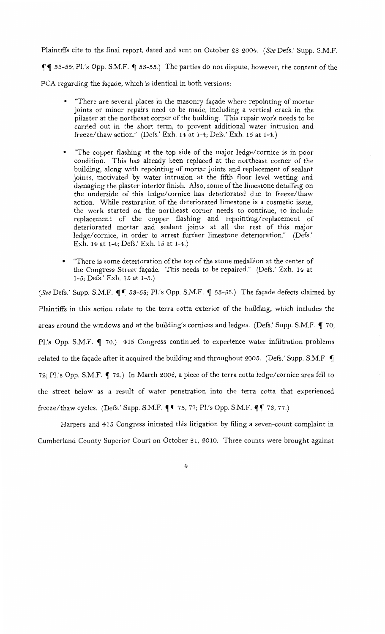Plaintiffs cite to the final report, dated and sent on October 28 2004. *(See* Defs.' Supp. S.M.F.

 $~\P\P$  53-55; Pl.'s Opp. S.M.F.  $~\P$  53-55.) The parties do not dispute, however, the content of the

PCA regarding the façade, which is identical in both versions:

- "There are several places in the masonry façade where repointing of mortar joints or minor repairs need to be made, including a vertical crack in the pilaster at the northeast corner of the building. This repair work needs to be carried out in the short term, to prevent additional water intrusion and freeze/thaw action." (Defs.' Exh. 14 at 1-4; Defs.' Exh. 15 at 1-4.)
- "The copper flashing at the top side of the major ledge/ cornice is in poor condition. This has already been replaced at the northeast corner of the building, along with repointing of mortar joints and replacement of sealant joints, motivated by water intrusion at the fifth floor level wetting and damaging the plaster interior finish. Also, some of the limestone detailing on the underside of this ledge/ cornice has deteriorated due to freeze/thaw action. While restoration of the deteriorated limestone is a cosmetic issue, the work started on the northeast corner needs to continue, to include replacement of the copper flashing and repointing/replacement of deteriorated mortar and sealant joints at all the rest of this major ledge/ cornice, in order to arrest further limestone deterioration." (Defs.' Exh. 14 at 1-4; Defs.' Exh. 15 at 1-4.)
- "There is some deterioration of the top of the stone medallion at the center of the Congress Street façade. This needs to be repaired." (Defs.' Exh. 14 at 1-5; Defs.' Exh. 15 at 1-5.)

*(See Defs.'* Supp. S.M.F.  $\P\P$  53-55; Pl.'s Opp. S.M.F.  $\P$  53-55.) The façade defects claimed by Plaintiffs in this action relate to the terra cotta exterior of the building, which includes the areas around the windows and at the building's cornices and ledges. (Defs.' Supp. S.M.F.  $\P$  70; Pl.'s Opp. S.M.F.  $\P$  70.) 415 Congress continued to experience water infiltration problems related to the façade after it acquired the building and throughout 2005. (Defs.' Supp. S.M.F.  $\P$ 72; Pl.'s Opp. S.M.F.  $\P$  72.) In March 2006, a piece of the terra cotta ledge/cornice area fell to the street below as a result of water penetration into the terra cotta that experienced freeze/thaw cycles. (Defs.' Supp. S.M.F.  $\P\P$  73, 77; Pl.'s Opp. S.M.F.  $\P\P$  73, 77.)

Harpers and 415 Congress initiated this litigation by filing a seven-count complaint in Cumberland County Superior Court on October 21, 2010. Three counts were brought against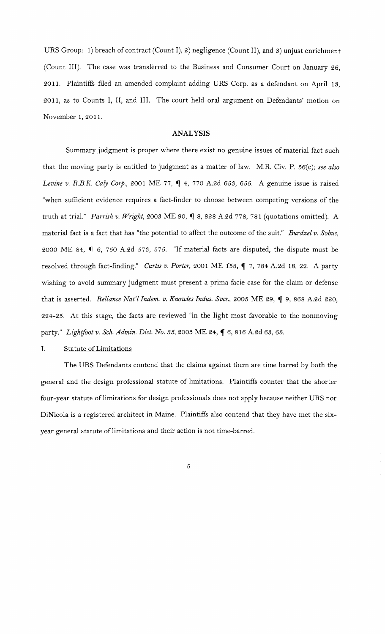URS Group: 1) breach of contract (Count I), 2) negligence (Count II), and 3) unjust enrichment (Count III). The case was transferred to the Business and Consumer Court on January 26, 2011. Plaintiffs filed an amended complaint adding URS Corp. as a defendant on April 13, 2011, as to Counts I, II, and III. The court held oral argument on Defendants' motion on November 1, 2011.

### **ANALYSIS**

Summary judgment is proper where there exist no genuine issues of material fact such that the moving party is entitled to judgment as a matter of law. M.R. Civ. P. 56(c); see also *Levine v. R.B.K. Caly Corp.*, 2001 ME 77,  $\P$  4, 770 A.2d 653, 655. A genuine issue is raised "when sufficient evidence requires a fact-finder to choose between competing versions of the truth at trial." *Parrish v. Wright, 2003 ME 90,* 18, 828 A.2d 778, 781 (quotations omitted). A material fact is a fact that has "the potential to affect the outcome of the suit." *Burdzel v. Sobus,*  2000 ME 84,  $\llbracket$  6, 750 A.2d 573, 575. "If material facts are disputed, the dispute must be resolved through fact-finding." *Curtis v. Porter*, 2001 ME 158, ¶ 7, 784 A.2d 18, 22. A party wishing to avoid summary judgment must present a prima facie case for the claim or defense that is asserted. *Reliance Nat'l Indem. v. Knowles Indus. Svcs.*, 2005 ME 29, ¶ 9, 868 A.2d 220, 224-25. At this stage, the facts are reviewed "in the light most favorable to the nonmoving party." *Lightfoot v. Sch. Admin. Dist. No. 35*, 2003 ME 24,  $\oint$  6, 816 A.2d 63, 65.

### I. Statute of Limitations

The URS Defendants contend that the claims against them are time barred by both the general and the design professional statute of limitations. Plaintiffs counter that the shorter four-year statute of limitations for design professionals does not apply because neither URS nor DiNicola is a registered architect in Maine. Plaintiffs also contend that they have met the sixyear general statute of limitations and their action is not time-barred.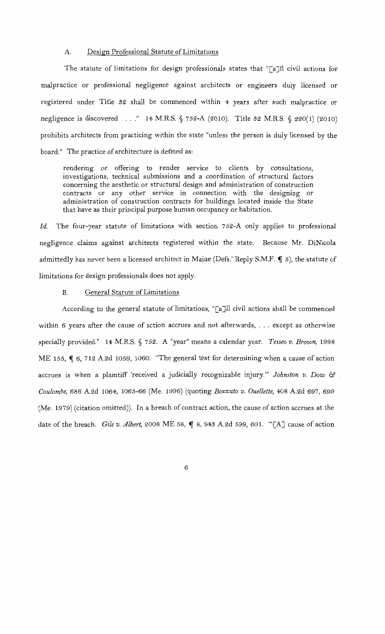## A. Design Professional Statute of Limitations

The statute of limitations for design professionals states that " $\lceil a \rceil$ ] civil actions for malpractice or professional negligence against architects or engineers duly licensed or registered under Title 32 shall be commenced within 4 years after such malpractice or negligence is discovered . . . ." 14 M.R.S.  $\S$  752-A (2010). Title 32 M.R.S.  $\S$  220(1) (2010) prohibits architects from practicing within the state "unless the person is duly licensed by the board." The practice of architecture is defined as:

rendering or offering to render service to clients by consultations, investigations, technical submissions and a coordination of structural factors concerning the aesthetic or structural design and administration of construction contracts or any other service in connection with the designing or administration of construction contracts for buildings located inside the State that have as their principal purpose human occupancy or habitation.

Id. The four-year statute of limitations with section 752-A only applies to professional negligence claims against architects registered within the state. Because Mr. DiNicola admittedly has never been a licensed architect in Maine (Defs.' Reply S.M.F.  $\P$  5), the statute of limitations for design professionals does not apply.

### B. General Statute of Limitations

According to the general statute of limitations, "[a]ll civil actions shall be commenced within 6 years after the cause of action accrues and not afterwards, ... except as otherwise specially provided." 14 M.R.S. § 752. A "year" means a calendar year. *Tesseo v. Brown,* 1998 ME 155,  $\P$  6, 712 A.2d 1059, 1060. "The general test for determining when a cause of action accrues is when a plaintiff 'received a judicially recognizable injury."' *Johnston v. Dow* & *Coulombe,* 686 A.2d 1064, 1065-66 (Me. 1996) (quoting *Bozzuto v. Ouellette,* 408 A.2d 697, 699 (Me. 1979) (citation omitted)). In a breach of contract action, the cause of action accrues at the date of the breach. *Gile v. Albert,* 2008 ME 58, ¶ 8, 943 A.2d 599, 601. "'[A] cause of action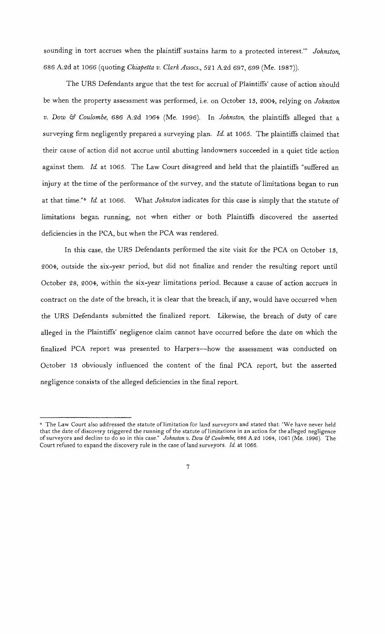sounding in tort accrues when the plaintiff sustains harm to a protected interest."' *Johnston,*  686 A.2d at 1066 (quoting *Chiapetta v. Clark Assocs.,* 521 A.2d 697, 699 (Me. 1987)).

The URS Defendants argue that the test for accrual of Plaintiffs' cause of action should be when the property assessment was performed, i.e. on October 13, 2004, relying on *Johnston v. Dow* & *Coulombe,* 686 A.2d 1064 (Me. 1996). In *Johnston,* the plaintiffs alleged that a surveying firm negligently prepared a surveying plan. *Id.* at 1065. The plaintiffs claimed that their cause of action did not accrue until abutting landowners succeeded in a quiet title action against them. *Id.* at 1065. The Law Court disagreed and held that the plaintiffs "suffered an injury at the time of the performance of the survey, and the statute of limitations began to run at that time."<sup>4</sup> Id. at 1066. What *Johnston* indicates for this case is simply that the statute of limitations began running, not when either or both Plaintiffs discovered the asserted deficiencies in the PCA, but when the PCA was rendered.

In this case, the URS Defendants performed the site visit for the PCA on October 13, 2004, outside the six-year period, but did not finalize and render the resulting report until October 28, 2004, within the six-year limitations period. Because a cause of action accrues in contract on the date of the breach, it is clear that the breach, if any, would have occurred when the URS Defendants submitted the finalized report. Likewise, the breach of duty of care alleged in the Plaintiffs' negligence claim cannot have occurred before the date on which the finalized PCA report was presented to Harpers-how the assessment was conducted on October 13 obviously influenced the content of the final PCA report, but the asserted negligence consists of the alleged deficiencies in the final report.

<sup>4</sup>The Law Court also addressed the statute of limitation for land surveyors and stated that: "We have never held that the date of discovery triggered the running of the statute oflimitations in an action for the alleged negligence of surveyors and decline to do so in this case." *Johnston v. Dow* & *Coulombe, 686* A.2d 1064, 1067 (Me. 1996). The Court refused to expand the discovery rule in the case ofland surveyors. *Id.* at 1066.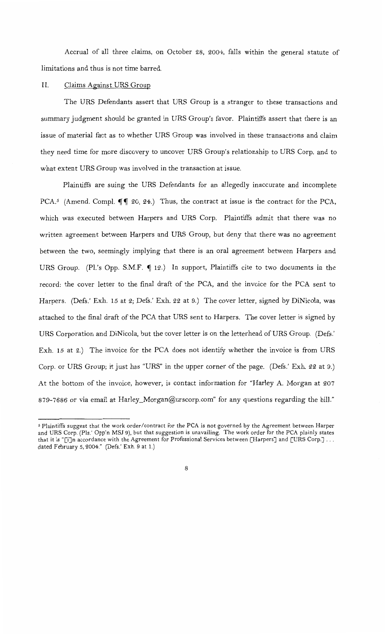Accrual of all three claims, on October 28, 2004, falls within the general statute of limitations and thus is not time barred.

## II. Claims Against URS Group

The URS Defendants assert that URS Group is a stranger to these transactions and summary judgment should be granted in URS Group's favor. Plaintiffs assert that there is an issue of material fact as to whether URS Group was involved in these transactions and claim they need time for more discovery to uncover URS Group's relationship to URS Corp. and to what extent URS Group was involved in the transaction at issue.

Plaintiffs are suing the URS Defendants for an allegedly inaccurate and incomplete PCA.<sup>5</sup> (Amend. Compl.  $\P\P$  20, 24.) Thus, the contract at issue is the contract for the PCA, which was executed between Harpers and URS Corp. Plaintiffs admit that there was no written agreement between Harpers and URS Group, but deny that there was no agreement between the two, seemingly implying that there is an oral agreement between Harpers and URS Group. (Pl.'s Opp. S.M.F.  $\P$  12.) In support, Plaintiffs cite to two documents in the record: the cover letter to the final draft of the PCA, and the invoice for the PCA sent to Harpers. (Defs.' Exh. 15 at 2; Defs.' Exh. 22 at 9.) The cover letter, signed by DiNicola, was attached to the final draft of the PCA that URS sent to Harpers. The cover letter is signed by URS Corporation and DiNicola, but the cover letter is on the letterhead of URS Group. (Defs.' Exh. 15 at 2.) The invoice for the PCA does not identify whether the invoice is from URS Corp. or URS Group; it just has "URS" in the upper corner of the page. (Defs.' Exh. 22 at 9.) At the bottom of the invoice, however, is contact information for "Harley A. Morgan at 207 879-7686 or via email at Harley\_Morgan@urscorp.com" for any questions regarding the bill."

*s* Plaintiffs suggest that the work order/contract for the PCA is not governed by the Agreement between Harper and URS Corp. (Pis.' Opp'n MSJ 9), but that suggestion is unavailing. The work order for the PCA plainly states that it is "[i]n accordance with the Agreement for Professional Services between [Harpers] and [URS Corp.] ... dated February 5, 2004." (Defs.' Exh. 9 at 1.)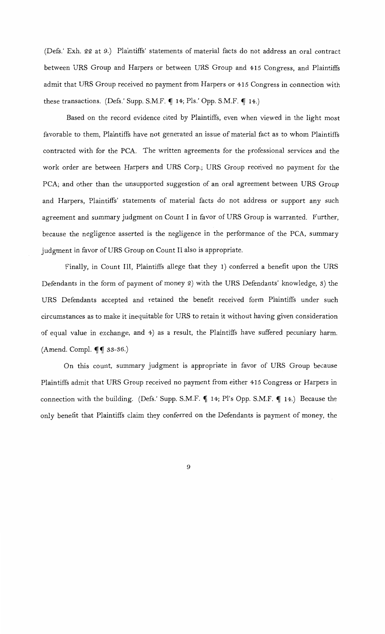(Defs.' Exh. 22 at 9.) Plaintiffs' statements of material facts do not address an oral contract between URS Group and Harpers or between URS Group and 415 Congress, and Plaintiffs admit that URS Group received no payment from Harpers or 415 Congress in connection with these transactions. (Defs.' Supp. S.M.F.  $\P$  14; Pls.' Opp. S.M.F.  $\P$  14.)

Based on the record evidence cited by Plaintiffs, even when viewed in the light most favorable to them, Plaintiffs have not generated an issue of material fact as to whom Plaintiffs contracted with for the PCA. The written agreements for the professional services and the work order are between Harpers and URS Corp.; URS Group received no payment for the PCA; and other than the unsupported suggestion of an oral agreement between URS Group and Harpers, Plaintiffs' statements of material facts do not address or support any such agreement and summary judgment on Count I in favor of URS Group is warranted. Further, because the negligence asserted is the negligence in the performance of the PCA, summary judgment in favor of URS Group on Count II also is appropriate.

Finally, in Count III, Plaintiffs allege that they 1) conferred a benefit upon the URS Defendants in the form of payment of money 2) with the URS Defendants' knowledge, S) the URS Defendants accepted and retained the benefit received form Plaintiffs under such circumstances as to make it inequitable for URS to retain it without having given consideration of equal value in exchange, and 4) as a result, the Plaintiffs have suffered pecuniary harm. (Amend. Compl.  $\P\P$  33-36.)

On this count, summary judgment is appropriate in favor of URS Group because Plaintiffs admit that URS Group received no payment from either 415 Congress or Harpers in connection with the building. (Defs.' Supp. S.M.F.  $\P$  14; Pl's Opp. S.M.F.  $\P$  14.) Because the only benefit that Plaintiffs claim they conferred on the Defendants is payment of money, the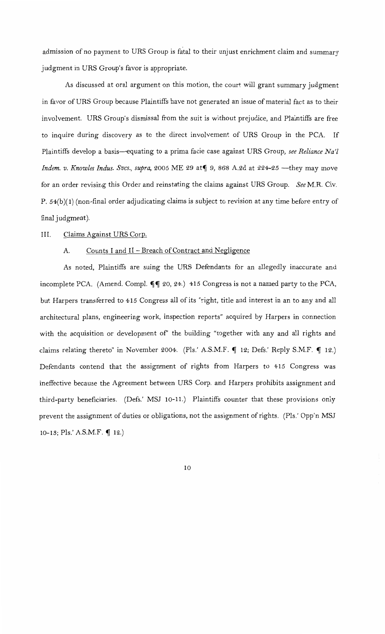admission of no payment to URS Group is fatal to their unjust enrichment claim and summary judgment in URS Group's favor is appropriate.

As discussed at oral argument on this motion, the court will grant summary judgment in favor of URS Group because Plaintiffs have not generated an issue of material fact as to their involvement. URS Group's dismissal from the suit is without prejudice, and Plaintiffs are free to inquire during discovery as to the direct involvement of URS Group in the PCA. If Plaintiffs develop a basis-equating to a prima facie case against URS Group, *see Reliance Na'l Indem. v. Knowles Indus. Svcs., supra,* 2005 ME 29 at <sup>1</sup> 9, 868 A.2d at 224-25 - they may move for an order revising this Order and reinstating the claims against URS Group. *See* M.R. Civ. P. 54(b)(1) (non-final order adjudicating claims is subject to revision at any time before entry of final judgment).

## III. Claims Against URS Corp.

### A. Counts I and II - Breach of Contract and Negligence

As noted, Plaintiffs are suing the URS Defendants for an allegedly inaccurate and incomplete PCA. (Amend. Compl.  $\P\P$  20, 24.) 415 Congress is not a named party to the PCA, but Harpers transferred to 415 Congress all of its "right, title and interest in an to any and all architectural plans, engineering work, inspection reports" acquired by Harpers in connection with the acquisition or development of' the building "together with any and all rights and claims relating thereto" in November 2004. (Pls.' A.S.M.F.  $\P$  12; Defs.' Reply S.M.F.  $\P$  12.) Defendants contend that the assignment of rights from Harpers to 415 Congress was ineffective because the Agreement between URS Corp. and Harpers prohibits assignment and third-party beneficiaries. (Defs.' MSJ 10-11.) Plaintiffs counter that these provisions only prevent the assignment of duties or obligations, not the assignment of rights. (Pls.' Opp'n MSJ 10-13; Pls.' A.S.M.F.  $\P$  12.)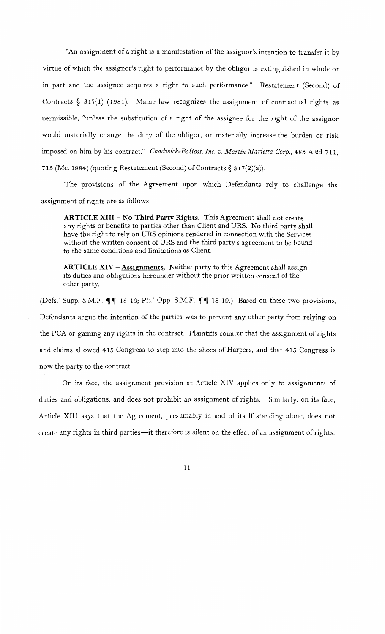"An assignment of a right is a manifestation of the assignor's intention to transfer it by virtue of which the assignor's right to performance by the obligor is extinguished in whole or in part and the assignee acquires a right to such performance." Restatement (Second) of Contracts  $\S$  317(1) (1981). Maine law recognizes the assignment of contractual rights as permissible, "unless the substitution of a right of the assignee for the right of the assignor would materially change the duty of the obligor, or materially increase the burden or risk imposed on him by his contract." *Chadwick-BaRoss, Inc. v. Martin Marietta Corp.*, 483 A.2d 711, 715 (Me. 1984) (quoting Restatement (Second) of Contracts  $\S 317(2)(a)$ ).

The provisions of the Agreement upon which Defendants rely to challenge the assignment of rights are as follows:

**ARTICLE XIII- No Third Party Rights.** This Agreement shall not create any rights or benefits to parties other than Client and URS. No third party shall have the right to rely on URS opinions rendered in connection with the Services without the written consent of URS and the third party's agreement to be bound to the same conditions and limitations as Client.

**ARTICLE XIV- Assignments.** Neither party to this Agreement shall assign its duties and obligations hereunder without the prior written consent of the other party.

(Defs.' Supp. S.M.F.  $\P\P$  18-19; Pls.' Opp. S.M.F.  $\P\P$  18-19.) Based on these two provisions, Defendants argue the intention of the parties was to prevent any other party from relying on the PCA or gaining any rights in the contract. Plaintiffs counter that the assignment of rights and claims allowed 415 Congress to step into the shoes of Harpers, and that 415 Congress is now the party to the contract.

On its face, the assignment provision at Article XIV applies only to assignments of duties and obligations, and does not prohibit an assignment of rights. Similarly, on its face, Article XIII says that the Agreement, presumably in and of itself standing alone, does not create any rights in third parties-it therefore is silent on the effect of an assignment of rights.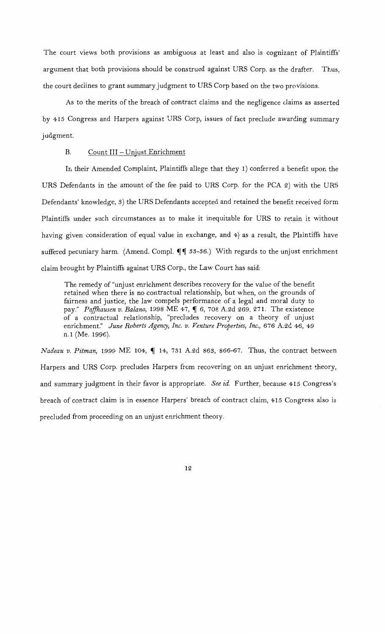The court views both provisions as ambiguous at least and also is cognizant of Plaintiffs' argument that both provisions should be construed against URS Corp. as the drafter. Thus, the court declines to grant summary judgment to URS Corp based on the two provisions.

As to the merits of the breach of contract claims and the negligence claims as asserted by 415 Congress and Harpers against URS Corp, issues of fact preclude awarding summary judgment.

### B. Count III - Unjust Enrichment

In their Amended Complaint, Plaintiffs allege that they 1) conferred a benefit upon the URS Defendants in the amount of the fee paid to URS Corp. for the PCA 2) with the URS Defendants' knowledge, 3) the URS Defendants accepted and retained the benefit received form Plaintiffs under such circumstances as to make it inequitable for URS to retain it without having given consideration of equal value in exchange, and 4) as a result, the Plaintiffs have suffered pecuniary harm. (Amend. Compl.  $\P\P$  33-36.) With regards to the unjust enrichment claim brought by Plaintiffs against URS Corp., the Law Court has said:

The remedy of "unjust enrichment describes recovery for the value of the benefit retained when there is no contractual relationship, but when, on the grounds of fairness and justice, the law compels performance of a legal and moral duty to pay." *Paffhausen v. Balano*, 1998 ME 47,  $\parallel$  6, 708 A.2d 269, 271. The existence of a contractual relationship, "precludes recovery on a theory of unjust enrichment." *June Roberts Agency, Inc. v. Venture Properties, Inc.,* 676 A.2d 46, 49 n.1 (Me. 1996).

*Nadeau v. Pitman*, 1999 ME 104, 14, 731 A.2d 863, 866-67. Thus, the contract between Harpers and URS Corp. precludes Harpers from recovering on an unjust enrichment theory, and summary judgment in their favor is appropriate. *See id.* Further, because 415 Congress's breach of contract claim is in essence Harpers' breach of contract claim, 415 Congress also is precluded from proceeding on an unjust enrichment theory.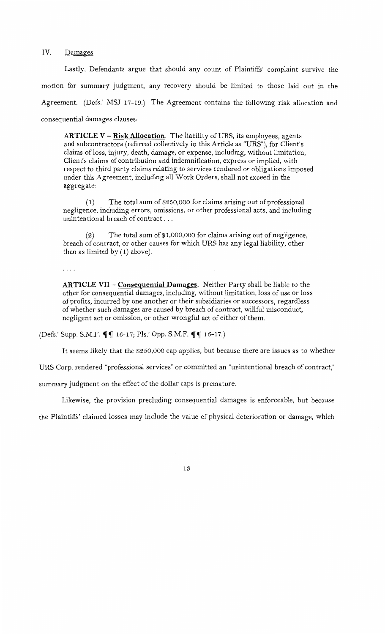IV. Damages

Lastly, Defendants argue that should any count of Plaintiffs' complaint survive the motion for summary judgment, any recovery should be limited to those laid out in the Agreement. (Defs.' MSJ 17-19.) The Agreement contains the following risk allocation and consequential damages clauses:

**ARTICLE V - Risk Allocation.** The liability of URS, its employees, agents and subcontractors (referred collectively in this Article as "URS"), for Client's claims ofloss, injury, death, damage, or expense, including, without limitation, Client's claims of contribution and indemnification, express or implied, with respect to third party claims relating to services rendered or obligations imposed under this Agreement, including all Work Orders, shall not exceed in the aggregate:

( 1) The total sum of \$250,000 for claims arising out of professional negligence, including errors, omissions, or other professional acts, and including unintentional breach of contract ...

(2) The total sum of \$1,000,000 for claims arising out of negligence, breach of contract, or other causes for which URS has any legal liability, other than as limited by (1) above).

 $\ldots$  .

**ARTICLE VII- Consequential Damages.** Neither Party shall be liable to the other for consequential damages, including, without limitation, loss of use or loss of profits, incurred by one another or their subsidiaries or successors, regardless of whether such damages are caused by breach of contract, willful misconduct, negligent act or omission, or other wrongful act of either of them.

(Defs.' Supp. S.M.F.  $\P\P$  16-17; Pls.' Opp. S.M.F.  $\P\P$  16-17.)

It seems likely that the \$250,000 cap applies, but because there are issues as to whether

URS Corp. rendered "professional services" or committed an "unintentional breach of contract,"

summary judgment on the effect of the dollar caps is premature.

Likewise, the provision precluding consequential damages is enforceable, but because

the Plaintiffs' claimed losses may include the value of physical deterioration or damage, which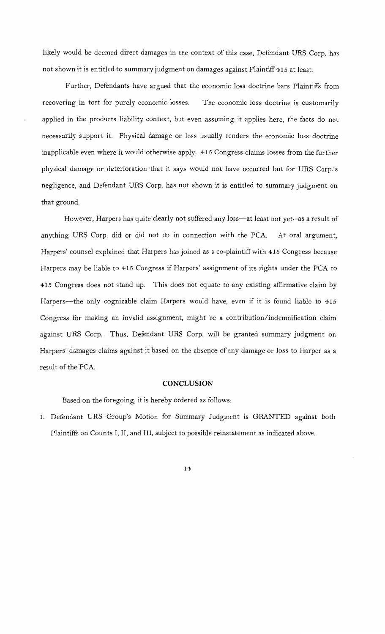likely would be deemed direct damages in the context of this case, Defendant URS Corp. has not shown it is entitled to summary judgment on damages against Plaintiff 415 at least.

Further, Defendants have argued that the economic loss doctrine bars Plaintiffs from recovering in tort for purely economic losses. The economic loss doctrine is customarily applied in the products liability context, but even assuming it applies here, the facts do not necessarily support it. Physical damage or loss usually renders the economic loss doctrine inapplicable even where it would otherwise apply. 415 Congress claims losses from the further physical damage or deterioration that it says would not have occurred but for URS Corp.'s negligence, and Defendant URS Corp. has not shown it is entitled to summary judgment on that ground.

However, Harpers has quite clearly not suffered any loss-at least not yet-as a result of anything URS Corp. did or did not do in connection with the PCA. At oral argument, Harpers' counsel explained that Harpers has joined as a co-plaintiff with 415 Congress because Harpers may be liable to 415 Congress if Harpers' assignment of its rights under the PCA to 415 Congress does not stand up. This does not equate to any existing affirmative claim by Harpers-the only cognizable claim Harpers would have, even if it is found liable to 415 Congress for making an invalid assignment, might be a contribution/indemnification claim against URS Corp. Thus, Defendant URS Corp. will be granted summary judgment on Harpers' damages claims against it based on the absence of any damage or loss to Harper as a result of the PCA.

### **CONCLUSION**

Based on the foregoing, it is hereby ordered as follows:

1. Defendant URS Group's Motion for Summary Judgment is GRANTED against both Plaintiffs on Counts I, II, and III, subject to possible reinstatement as indicated above.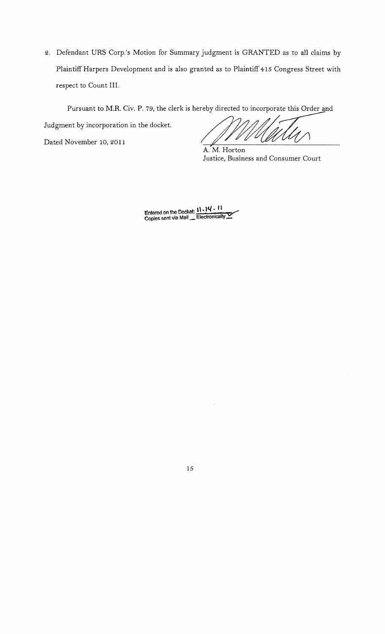2. Defendant URS Corp.'s Motion for Summary judgment is GRANTED as to all claims by Plaintiff Harpers Development and is also granted as to Plaintiff 415 Congress Street with respect to Count III.

Pursuant to M.R. Civ. P. 79, the clerk is hereby directed to incorporate this Order and

Dated November 10, 2011

Pursuant to M.R. Civ. P. 79, the clerk is hereby directed to incorporate this Order and Judgment by incorporation in the docket.

A.M. Horton Justice, Business and Consumer Court

Entered on the Docket:  $11 - 14 - 11$ <br>Copies sent via Mail \_ Electronically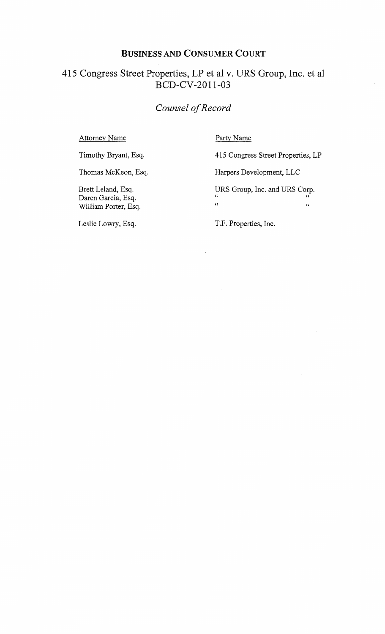# BUSINESS AND CONSUMER COURT

# 415 Congress Street Properties, LP et al v. URS Group, Inc. et al BCD-CV-2011-03

# *Counsel of Record*

Attorney Name

Party Name

Timothy Bryant, Esq.

Thomas McKeon, Esq.

Brett Leland, Esq. Daren Garcia, Esq. William Porter, Esq. 415 Congress Street Properties, LP Harpers Development, LLC URS Group, Inc. and URS Corp.

 $\epsilon$   $\epsilon$  $\overline{a}$   $\overline{b}$   $\overline{c}$   $\overline{c}$   $\overline{c}$   $\overline{c}$   $\overline{c}$   $\overline{c}$   $\overline{c}$   $\overline{c}$   $\overline{c}$   $\overline{c}$   $\overline{c}$   $\overline{c}$   $\overline{c}$   $\overline{c}$   $\overline{c}$   $\overline{c}$   $\overline{c}$   $\overline{c}$   $\overline{c}$   $\overline{c}$   $\overline{c}$   $\overline{c}$   $\overline{$ 

Leslie Lowry, Esq.

T.F. Properties, Inc.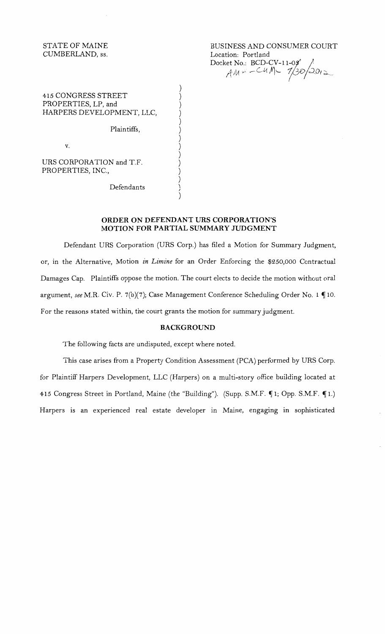STATE OF MAINE CUMBERLAND, ss.

BUSINESS AND CONSUMER COURT Location: Portland Docket No.:  $BCD-CV-11-09'$ AM = -CUM = 7/30/2012

415 CONGRESS STREET PROPERTIES, LP, and HARPERS DEVELOPMENT, LLC,

Plaintiffs,

v.

URS CORPORATION and T.F. PROPERTIES, INC.,

Defendants

## **ORDER ON DEFENDANT URS CORPORATION'S MOTION FOR PARTIAL SUMMARY JUDGMENT**

) ) ) ) ) ) ) ) ) ) ) ) ) )

Defendant URS Corporation (URS Corp.) has filed a Motion for Summary Judgment, or, in the Alternative, Motion *in Limine* for an Order Enforcing the \$250,000 Contractual Damages Cap. Plaintiffs oppose the motion. The court elects to decide the motion without oral argument, see M.R. Civ. P. 7(b)(7); Case Management Conference Scheduling Order No. 1 ¶10. For the reasons stated within, the court grants the motion for summary judgment.

## **BACKGROUND**

The following facts are undisputed, except where noted.

This case arises from a Property Condition Assessment (PCA) performed by URS Corp. for Plaintiff Harpers Development, LLC (Harpers) on a multi-story office building located at 415 Congress Street in Portland, Maine (the "Building"). (Supp. S.M.F. ¶1; Opp. S.M.F. ¶1.) Harpers is an experienced real estate developer in Maine, engaging in sophisticated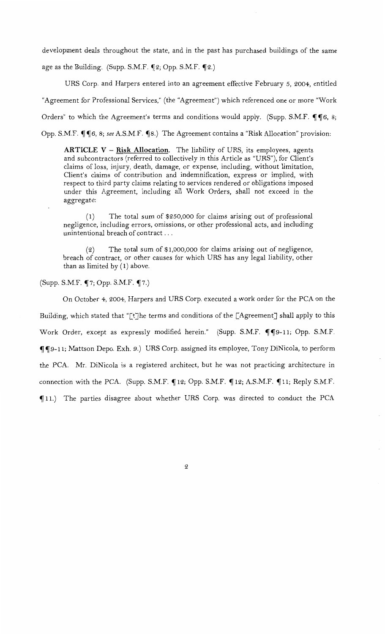development deals throughout the state, and in the past has purchased buildings of the same age as the Building. (Supp. S.M.F.  $\P$ 2; Opp. S.M.F.  $\P$ 2.)

URS Corp. and Harpers entered into an agreement effective February 5, 2004, entitled "Agreement for Professional Services," (the "Agreement") which referenced one or more "Work Orders" to which the Agreement's terms and conditions would apply. (Supp. S.M.F.  $\P$  $\P$ 6, 8; Opp. S.M.F.  $\P$   $\P$  6, 8; *see* A.S.M.F.  $\P$  8.) The Agreement contains a "Risk Allocation" provision:

**ARTICLE V - Risk Allocation.** The liability of URS, its employees, agents and subcontractors (referred to collectively in this Article as "URS"), for Client's claims of loss, injury, death, damage, or expense, including, without limitation, Client's claims of contribution and indemnification, express or implied, with respect to third party claims relating to services rendered or obligations imposed under this Agreement, including all Work Orders, shall not exceed in the aggregate:

( 1) The total sum of \$250,000 for claims arising out of professional negligence, including errors, omissions, or other professional acts, and including unintentional breach of contract ...

(2) The total sum of \$1,000,000 for claims arising out of negligence, breach of contract, or other causes for which URS has any legal liability, other than as limited by (1) above.

(Supp. S.M.F. ~7; Opp. S.M.F. ~7.)

On October 4, 2004, Harpers and URS Corp. executed a work order for the PCA on the Building, which stated that "[t]he terms and conditions of the [Agreement] shall apply to this Work Order, except as expressly modified herein." (Supp. S.M.F. ¶¶9-11; Opp. S.M.F. ~~9-11; Mattson Depo. Exh. 9.) URS Corp. assigned its employee, Tony DiNicola, to perform the PCA. Mr. DiNicola is a registered architect, but he was not practicing architecture in connection with the PCA. (Supp. S.M.F.  $\P$ 12; Opp. S.M.F.  $\P$ 12; A.S.M.F.  $\P$ 11; Reply S.M.F. ~ 11.) The parties disagree about whether URS Corp. was directed to conduct the PCA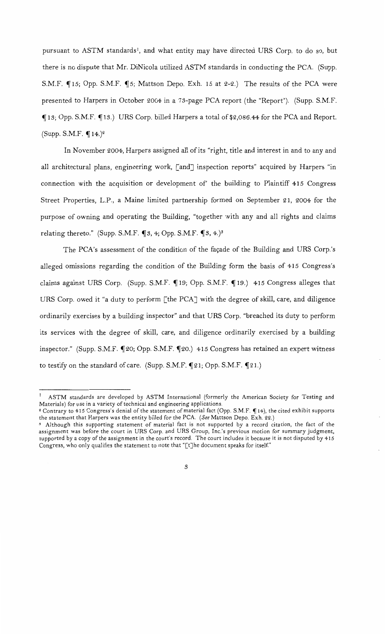pursuant to ASTM standards!, and what entity may have directed URS Corp. to do so, but there is no dispute that Mr. DiNicola utilized ASTM standards in conducting the PCA. (Supp. S.M.F.  $\P$ 15; Opp. S.M.F.  $\P$ 5; Mattson Depo. Exh. 15 at 2-2.) The results of the PCA were presented to Harpers in October 2004 in a 73-page PCA report (the "Report"). (Supp. S.M.F. <sup>~</sup>13; Opp. S.M.F. ~ 13.) URS Corp. billed Harpers a total of\$2,086.44 for the PCA and Report. (Supp. S.M.F.  $\P$ 14.)<sup>2</sup>

In November 2004, Harpers assigned all ofits "right, title and interest in and to any and all architectural plans, engineering work, [and] inspection reports" acquired by Harpers "in connection with the acquisition or development of' the building to Plaintiff 415 Congress Street Properties, L.P., a Maine limited partnership formed on September 21, 2004 for the purpose of owning and operating the Building, "together with any and all rights and claims relating thereto." (Supp. S.M.F.  $\P$ 3, 4; Opp. S.M.F.  $\P$ 3, 4.)<sup>3</sup>

The PCA's assessment of the condition of the façade of the Building and URS Corp.'s alleged omissions regarding the condition of the Building form the basis of 415 Congress's claims against URS Corp. (Supp. S.M.F. 19; Opp. S.M.F. 19.) 415 Congress alleges that URS Corp. owed it "a duty to perform [the PCAJ with the degree of skill, care, and diligence ordinarily exercises by a building inspector" and that URS Corp. "breached its duty to perform its services with the degree of skill, care, and diligence ordinarily exercised by a building inspector." (Supp. S.M.F. ¶20; Opp. S.M.F. ¶20.) 415 Congress has retained an expert witness to testify on the standard of care. (Supp. S.M.F.  $\P$ 21; Opp. S.M.F.  $\P$ 21.)

 $1$  ASTM standards are developed by ASTM International (formerly the American Society for Testing and Materials) for use in a variety of technical and engineering applications.

<sup>&</sup>lt;sup>2</sup> Contrary to 415 Congress's denial of the statement of material fact (Opp. S.M.F. ¶14), the cited exhibit supports the statement that Harpers was the entity billed for the PCA. *(See* Mattson Depo. Exh. 22.)

<sup>.~</sup> Although this supporting statement of material fact is not supported by a record citation, the fact of the assignment was before the court in URS Corp. and URS Group, Inc.'s previous motion for summary judgment, supported by a copy of the assignment in the court's record. The court includes it because it is not disputed by 415 Congress, who only qualifies the statement to note that "[t]he document speaks for itself"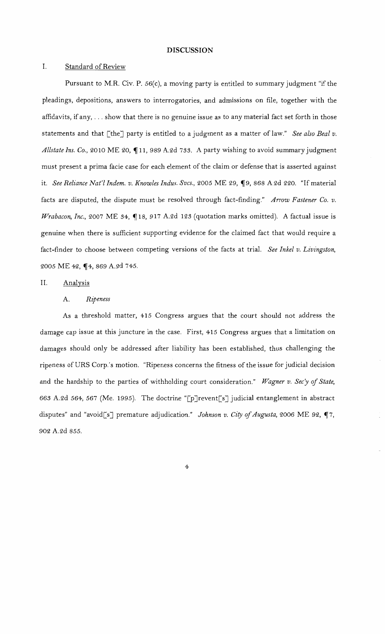#### **DISCUSSION**

### I. Standard of Review

Pursuant to M.R. Civ. P. 56(c), a moving party is entitled to summary judgment "if the pleadings, depositions, answers to interrogatories, and admissions on file, together with the affidavits, if any, ... show that there is no genuine issue as to any material fact set forth in those statements and that [the] party is entitled to a judgment as a matter of law." *See also Beal v.* Allstate Ins. Co., 2010 ME 20, 11, 989 A.2d 733. A party wishing to avoid summary judgment must present a prima facie case for each element of the claim or defense that is asserted against it. *See Reliance Nat'l Indem. v. Knowles Indus. Svcs.*, 2005 ME 29, ¶9, 868 A.2d 220. "If material facts are disputed, the dispute must be resolved through fact-finding." *Arrow Fastener Co. v. Wrabacon, Inc., 2007* ME 34,  $\P$ 18, 917 A.2d 123 (quotation marks omitted). A factual issue is genuine when there is sufficient supporting evidence for the claimed fact that would require a fact-finder to choose between competing versions of the facts at trial. *See Inkel v. Livingston,*  2005 ME 42, 14, 869 A.2d 745.

### II. Analysis

### A. *Ripeness*

As a threshold matter, 415 Congress argues that the court should not address the damage cap issue at this juncture in the case. First, 415 Congress argues that a limitation on damages should only be addressed after liability has been established, thus challenging the ripeness of URS Corp.'s motion. "Ripeness concerns the fitness of the issue for judicial decision and the hardship to the parties of withholding court consideration." Wagner v. Sec'y of State, 66.3 A.2d 564, 567 (Me. 1995). The doctrine "[p]revent[s] judicial entanglement in abstract disputes" and "avoid[s] premature adjudication." *Johnson v. City of Augusta*, 2006 ME 92, ¶7, 902 A.2d *855.*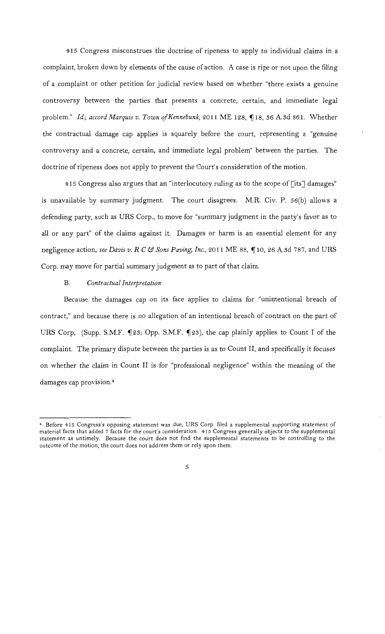415 Congress misconstrues the doctrine of ripeness to apply to individual claims in a complaint, broken down by elements of the cause of action. A case is ripe or not upon the filing of a complaint or other petition for judicial review based on whether "there exists a genuine controversy between the parties that presents a concrete, certain, and immediate legal problem." *Id.; accord Marquis v. Town of Kennebunk*, 2011 ME 128, ¶18, 36 A.3d 861. Whether the contractual damage cap applies is squarely before the court, representing a "genuine controversy and a concrete, certain, and immediate legal problem" between the parties. The doctrine of ripeness does not apply to prevent the Court's consideration of the motion.

415 Congress also argues that an "interlocutory ruling as to the scope of [its] damages" is unavailable by summary judgment. The court disagrees. M.R. Civ. P. 56(b) allows a defending party, such as URS Corp., to move for "summary judgment in the party's favor as to all or any part" of the claims against it. Damages or harm is an essential element for any negligence action, *see Davis v. R C* & *Sons Paving, Inc.,* 2011 ME 88, ~ 10, 26 *A.3d* 787, and URS Corp. may move for partial summary judgment as to part of that claim.

### B. *Contractual Interpretation*

Because the damages cap on its face applies to claims for "unintentional breach of contract," and because there is no allegation of an intentional breach of contract on the part of URS Corp, (Supp. S.M.F. ¶23; Opp. S.M.F. ¶23), the cap plainly applies to Count I of the complaint. The primary dispute between the parties is as to Count II, and specifically it focuses on whether the claim in Count II is for "professional negligence" within the meaning of the damages cap provision. <sup>4</sup>

<sup>4</sup>Before 415 Congress's opposing statement was due, URS Corp. filed a supplemental supporting statement of material facts that added 7 facts for the court's consideration. 415 Congress generally objects to the supplemental statement as untimely. Because the court does not find the supplemental statements to be controlling to the outcome of the motion, the court does not address them or rely upon them.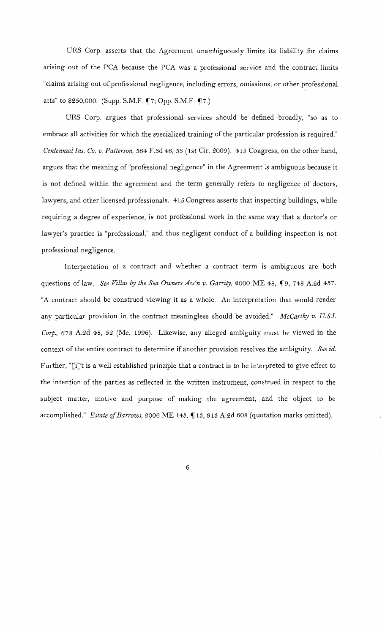URS Corp. asserts that the Agreement unambiguously limits its liability for claims arising out of the PCA because the PCA was a professional service and the contract limits "claims arising out of professional negligence, including errors, omissions, or other professional acts" to  $$250,000.$  (Supp. S.M.F.  $\P$ 7; Opp. S.M.F.  $\P$ 7.)

URS Corp. argues that professional services should be defined broadly, "so as to embrace all activities for which the specialized training of the particular profession is required." *Centennial Ins. Co. v. Patterson,* 564 F.sd 46, *53* (1st Cir. 2009). 415 Congress, on the other hand, argues that the meaning of "professional negligence" in the Agreement is ambiguous because it is not. defined within the agreement and the term generally refers to negligence of doctors, lawyers, and other licensed professionals. 415 Congress asserts that inspecting buildings, while requiring a degree of experience, is not professional work in the same way that a doctor's or lawyer's practice is "professional," and thus negligent conduct of a building inspection is not professional negligence.

Interpretation of a contract and whether a contract term is ambiguous are both questions of law. *See Villas by the Sea Owners Ass'n v. Garrity*, 2000 ME 48, ¶9, 748 A.2d 457. "A contract should be construed viewing it as a whole. An interpretation that would render any particular provision in the contract meaningless should be avoided." *McCarthy v. U.S.!. Corp.,* 678 A.2d 48, *52* (Me. 1996). Likewise, any alleged ambiguity must be viewed in the context of the entire contract to determine if another provision resolves the ambiguity. *See id.*  Further, "[i]t is a well established principle that a contract is to be interpreted to give effect to the intention of the parties as reflected in the written instrument, construed in respect to the subject matter, motive and purpose of making the agreement, and the object to be accomplished." Estate of Barrows, 2006 ME 143, 13, 913 A.2d 608 (quotation marks omitted).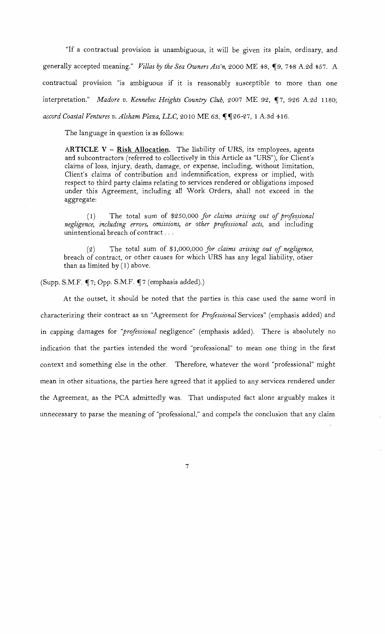"If a contractual provision is unambiguous, it will be given its plain, ordinary, and generally accepted meaning." *Villas by the Sea Owners Ass'n*, 2000 ME 48, ¶9, 748 A.2d 457. A contractual provision "is ambiguous if it is reasonably susceptible to more than one interpretation." *Madore v. Kennebec Heights Country Club*, 2007 ME 92, ¶7, 926 A.2d 1180; accord Coastal Ventures v. Alsham Plaza, LLC, 2010 ME 63, ¶¶26-27, 1 A.3d 416.

The language in question is as follows:

**ARTICLE** V - **Risk Allocation.** The liability of URS, its employees, agents and subcontractors (referred to collectively in this Article as "URS"), for Client's claims of loss, injury, death, damage, or expense, including, without limitation, Client's claims of contribution and indemnification, express or implied, with respect to third party claims relating to services rendered or obligations imposed under this Agreement, including all Work Orders, shall not exceed in the aggregate:

(1) The total sum of \$250,000 for claims arising out of professional *negligence, including errors, omissions, or other prcifessional acts,* and including unintentional breach of contract ...

(2) The total sum of \$1,000,000 *for claims arising out of negligence,*  breach of contract, or other causes for which URS has any legal liability, other than as limited by ( 1) above.

 $(Supp. S.M.F. \P 7; Opp. S.M.F. \P 7 (emphasis added).)$ 

At the outset, it should be noted that the parties in this case used the same word in characterizing their contract as an "Agreement for *Professional* Services" (emphasis added) and in capping damages for *"professional* negligence" (emphasis added). There is absolutely no indication that the parties intended the word "professional" to mean one thing in the first context and something else in the other. Therefore, whatever the word "professional" might mean in other situations, the parties here agreed that it applied to any services rendered under the Agreement, as the PCA admittedly was. That undisputed fact alone arguably makes it unnecessary to parse the meaning of "professional," and compels the conclusion that any claim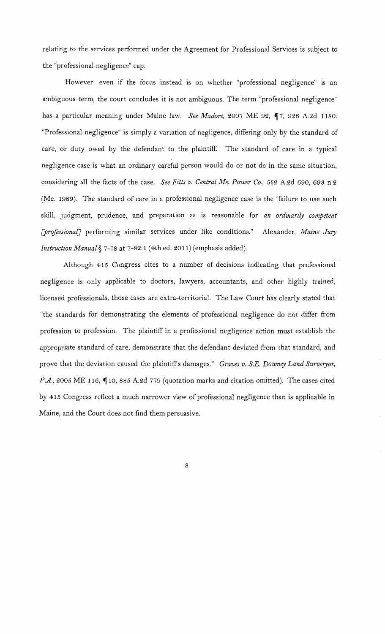relating to the services performed under the Agreement for Professional Services is subject to the "professional negligence" cap.

However. even if the focus instead is on whether "professional negligence" is an ambiguous term, the court concludes it is not ambiguous. The term "professional negligence" has a particular meaning under Maine law. *See Madore*, 2007 ME 92, ¶7, 926 A.2d 1180. "Professional negligence" is simply a variation of negligence, differing only by the standard of care, or duty owed by the defendant to the plaintiff. The standard of care in a typical negligence case is what an ordinary careful person would do or not do in the same situation, considering all the facts of the case. *See Fitts v. Central Me. Power Co.,* 562 A.2d 690, 693 n.2 (Me. 1989). The standard of care in a professional negligence case is the "failure to use such skill, judgment, prudence, and preparation as is reasonable for *an ordinarily competent [prrifessional]* performing similar services under like conditions." Alexander, *Maine Jury Instruction Manual§* 7-78 at 7-82.1 (4th ed. 2011) (emphasis added).

Although 415 Congress cites to a number of decisions indicating that professional negligence is only applicable to doctors, lawyers, accountants, and other highly trained, licensed professionals, those cases are extra-territorial. The Law Court has clearly stated that "the standards for demonstrating the elements of professional negligence do not differ from profession to profession. The plaintiff in a professional negligence action must establish the appropriate standard of care, demonstrate that the defendant deviated from that standard, and prove that the deviation caused the plaintiffs damages." *Graves v. S.E. Downey Land Surveryor,*  P.A., 2005 ME 116,  $\P$  10, 885 A.2d 779 (quotation marks and citation omitted). The cases cited by 415 Congress reflect a much narrower view of professional negligence than is applicable in Maine, and the Court does not find them persuasive.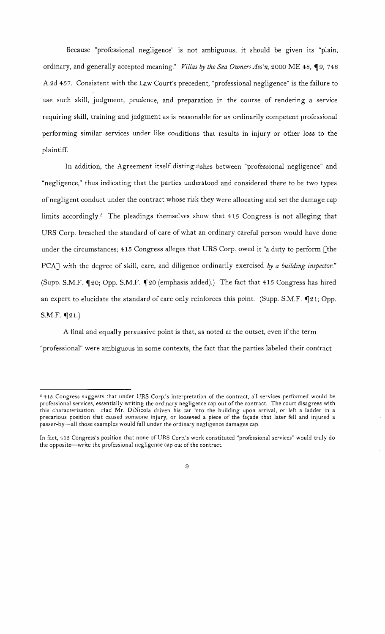Because "professional negligence" is not ambiguous, it should be given its "plain, ordinary, and generally accepted meaning." *Villas by the Sea Owners Ass'n*, 2000 ME 48, ¶9, 748 A.2d 457. Consistent with the Law Court's precedent, "professional negligence" is the failure to use such skill, judgment, prudence, and preparation in the course of rendering a service requiring skill, training and judgment as is reasonable for an ordinarily competent professional performing similar services under like conditions that results in injury or other loss to the plaintiff

In addition, the Agreement itself distinguishes between "professional negligence" and "negligence," thus indicating that the parties understood and considered there to be two types of negligent conduct under the contract whose risk they were allocating and set the damage cap limits accordingly.<sup>5</sup> The pleadings themselves show that 415 Congress is not alleging that URS Corp. breached the standard of care of what an ordinary careful person would have done under the circumstances; 415 Congress alleges that URS Corp. owed it "a duty to perform [the PCAJ with the degree of skill, care, and diligence ordinarily exercised *by a building inspector."*  (Supp. S.M.F. ~20; Opp. S.M.F. ~20 (emphasis added).) The fact that 415 Congress has hired an expert to elucidate the standard of care only reinforces this point. (Supp. S.M.F.  $\P$ 21; Opp.  $S.M.F.$   $\P$ 21.)

A final and equally persuasive point is that, as noted at the outset, even if the term "professional" were ambiguous in some contexts, the fact that the parties labeled their contract

*<sup>5</sup>*415 Congress suggests that under URS Corp.'s interpretation of the contract, all services performed would be professional services, essentially writing the ordinary negligence cap out of the contract. The court disagrees with this characterization. Had Mr. DiNicola driven his car into the building upon arrival, or left a ladder in a precarious position that caused someone injury, or loosened a piece of the façade that later fell and injured a passer-by-all those examples would fall under the ordinary negligence damages cap.

In fact, 415 Congress's position that none of URS Corp.'s work constituted "professional services" would truly do the opposite--write the professional negligence cap out of the contract.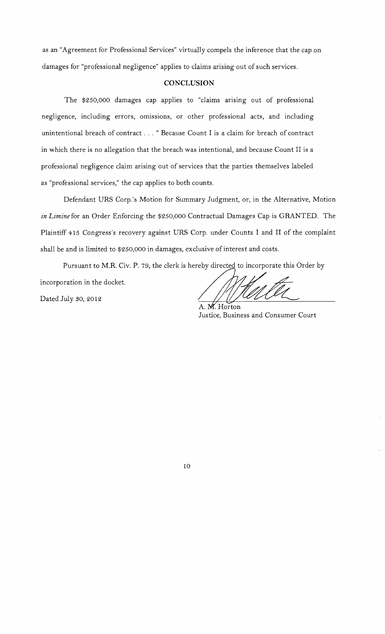as an "Agreement for Professional Services" virtually compels the inference that the cap on damages for "professional negligence" applies to claims arising out of such services.

## **CONCLUSION**

The \$250,000 damages cap applies to "claims arising out of professional negligence, including errors, omissions, or other professional acts, and including unintentional breach of contract ... " Because Count I is a claim for breach of contract in which there is no allegation that the breach was intentional, and because Count II is a professional negligence claim arising out of services that the parties themselves labeled as "professional services," the cap applies to both counts.

Defendant URS Corp.'s Motion for Summary Judgment, or, in the Alternative, Motion *in Limine* for an Order Enforcing the \$250,000 Contractual Damages Cap is GRANTED. The Plaintiff 415 Congress's recovery against URS Corp. under Counts I and II of the complaint shall be and is limited to \$250,000 in damages, exclusive of interest and costs.

Pursuant to M.R. Civ. P. 79, the clerk is hereby directed to incorporate this Order by

incorporation in the docket.

Dated July so, 2012

A. M. Horton Justice, Business and Consumer Court